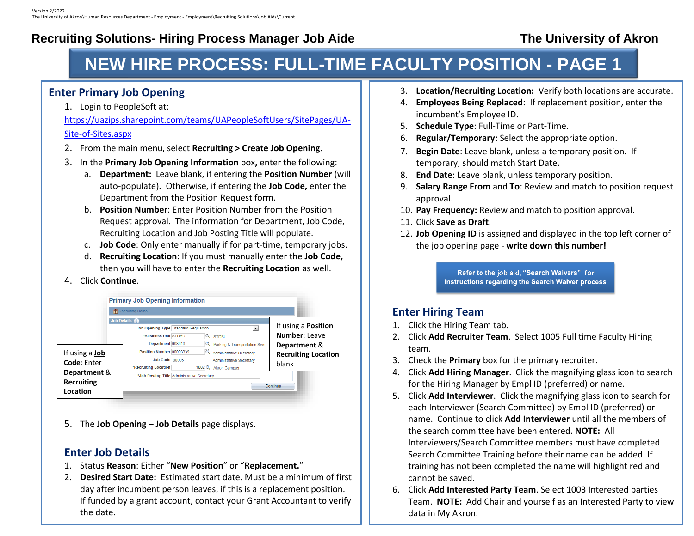# **NEW HIRE PROCESS: FULL-TIME FACULTY POSITION - PAGE 1**

#### **Enter Primary Job Opening**

1. Login to PeopleSoft at:

[https://uazips.sharepoint.com/teams/UAPeopleSoftUsers/SitePages/UA-](https://uazips.sharepoint.com/teams/UAPeopleSoftUsers/SitePages/UA-Site-of-Sites.aspx)[Site-of-Sites.aspx](https://uazips.sharepoint.com/teams/UAPeopleSoftUsers/SitePages/UA-Site-of-Sites.aspx)

- 2. From the main menu, select **Recruiting > Create Job Opening.**
- 3. In the **Primary Job Opening Information** box**,** enter the following:
	- a. **Department:** Leave blank, if entering the **Position Number** (will auto-populate)**.** Otherwise, if entering the **Job Code,** enter the Department from the Position Request form.
	- b. **Position Number**: Enter Position Number from the Position Request approval. The information for Department, Job Code, Recruiting Location and Job Posting Title will populate.
	- c. **Job Code**: Only enter manually if for part-time, temporary jobs.
	- d. **Recruiting Location**: If you must manually enter the **Job Code,**  then you will have to enter the **Recruiting Location** as well.

#### 4. Click **Continue**.

|                                               | <b>Primary Job Opening Information</b>                                                                                                                                                                                                                                                                                                                                   |                                                                                                    |
|-----------------------------------------------|--------------------------------------------------------------------------------------------------------------------------------------------------------------------------------------------------------------------------------------------------------------------------------------------------------------------------------------------------------------------------|----------------------------------------------------------------------------------------------------|
|                                               | Recruiting Home                                                                                                                                                                                                                                                                                                                                                          |                                                                                                    |
| If using a <b>Job</b><br>Code: Enter          | Job Details<br>Job Opening Type Standard Requisition<br>$\overline{\phantom{a}}$<br>*Business Unit STDBU<br>Q STDBU<br>Department 008610<br>Q Parking & Transportation Srvs<br>Position Number 00003339<br>Q<br>Administrative Secretary<br>Job Code 80005<br><b>Administrative Secretary</b><br>*Recruiting Location<br>$1002$ $\textcircled{2}$<br><b>Akron Campus</b> | If using a <b>Position</b><br>Number: Leave<br>Department &<br><b>Recruiting Location</b><br>blank |
| Department &<br><b>Recruiting</b><br>Location | *Job Posting Title Administrative Secretary                                                                                                                                                                                                                                                                                                                              | Continue                                                                                           |

5. The **Job Opening – Job Details** page displays.

#### **Enter Job Details**

- 1. Status **Reason**: Either "**New Position**" or "**Replacement.**"
- 2. **Desired Start Date:** Estimated start date. Must be a minimum of first day after incumbent person leaves, if this is a replacement position. If funded by a grant account, contact your Grant Accountant to verify the date.
- 3. **Location/Recruiting Location:** Verify both locations are accurate.
- 4. **Employees Being Replaced**: If replacement position, enter the incumbent's Employee ID.
- 5. **Schedule Type**: Full-Time or Part-Time.
- 6. **Regular/Temporary:** Select the appropriate option.
- 7. **Begin Date**: Leave blank, unless a temporary position. If temporary, should match Start Date.
- 8. **End Date**: Leave blank, unless temporary position.
- 9. **Salary Range From** and **To**: Review and match to position request approval.
- 10. **Pay Frequency:** Review and match to position approval.
- 11. Click **Save as Draft**.
- 12. **Job Opening ID** is assigned and displayed in the top left corner of the job opening page - **write down this number!**

Refer to the job aid, "Search Waivers" for instructions regarding the Search Waiver process

### **Enter Hiring Team**

- 1. Click the Hiring Team tab.
- 2. Click **Add Recruiter Team**. Select 1005 Full time Faculty Hiring team.
- 3. Check the **Primary** box for the primary recruiter.
- 4. Click **Add Hiring Manager**. Click the magnifying glass icon to search for the Hiring Manager by Empl ID (preferred) or name.
- 5. Click **Add Interviewer**. Click the magnifying glass icon to search for each Interviewer (Search Committee) by Empl ID (preferred) or name. Continue to click **Add Interviewer** until all the members of the search committee have been entered. **NOTE:** All Interviewers/Search Committee members must have completed Search Committee Training before their name can be added. If training has not been completed the name will highlight red and cannot be saved.
- 6. Click **Add Interested Party Team**. Select 1003 Interested parties Team. **NOTE:** Add Chair and yourself as an Interested Party to view data in My Akron.

7. Click **Save as Draft**. **NOTE:** Screening Team is **NOT** used.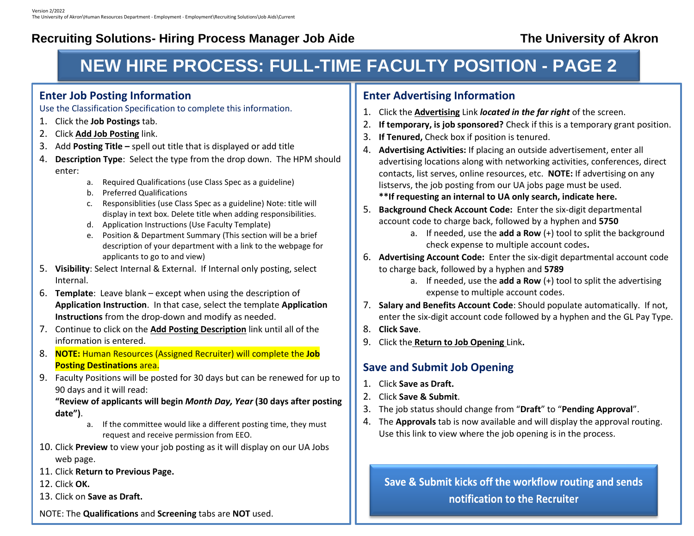#### **HIGHALL HURE BROCESS: ELLI LETIME E NEW HIRE PROCESS: FULL-TIME FACULTY POSITION - PAGE 2**

#### **Enter Job Posting Information**

Use the Classification Specification to complete this information.

- 1. Click the **Job Postings** tab.
- 2. Click **Add Job Posting** link.
- 3. Add **Posting Title –** spell out title that is displayed or add title
- 4. **Description Type**: Select the type from the drop down. The HPM should enter:
	- a. Required Qualifications (use Class Spec as a guideline)
	- b. Preferred Qualifications
	- c. Responsiblities (use Class Spec as a guideline) Note: title will display in text box. Delete title when adding responsibilities.
	- d. Application Instructions (Use Faculty Template)
	- e. Position & Department Summary (This section will be a brief description of your department with a link to the webpage for applicants to go to and view)
- 5. **Visibility**: Select Internal & External. If Internal only posting, select Internal.
- 6. **Template**: Leave blank except when using the description of **Application Instruction**. In that case, select the template **Application Instructions** from the drop-down and modify as needed.
- 7. Continue to click on the **Add Posting Description** link until all of the information is entered.
- 8. **NOTE:** Human Resources (Assigned Recruiter) will complete the **Job Posting Destinations** area.
- 9. Faculty Positions will be posted for 30 days but can be renewed for up to 90 days and it will read:

**"Review of applicants will begin** *Month Day, Year* **(30 days after posting date")**.

- a. If the committee would like a different posting time, they must request and receive permission from EEO.
- 10. Click **Preview** to view your job posting as it will display on our UA Jobs web page.
- 11. Click **Return to Previous Page.**
- 12. Click **OK.**
- 13. Click on **Save as Draft.**

NOTE: The **Qualifications** and **Screening** tabs are **NOT** used.

#### **Enter Advertising Information**

- 1. Click the **Advertising** Link *located in the far right* of the screen.
- 2. **If temporary, is job sponsored?** Check if this is a temporary grant position.
- 3. **If Tenured,** Check box if position is tenured.
- 4. **Advertising Activities:** If placing an outside advertisement, enter all advertising locations along with networking activities, conferences, direct contacts, list serves, online resources, etc. **NOTE:** If advertising on any listservs, the job posting from our UA jobs page must be used.
	- **\*\*If requesting an internal to UA only search, indicate here.**
- 5. **Background Check Account Code:** Enter the six-digit departmental account code to charge back, followed by a hyphen and **5750**
	- a. If needed, use the **add a Row** (+) tool to split the background check expense to multiple account codes**.**
- 6. **Advertising Account Code:** Enter the six-digit departmental account code to charge back, followed by a hyphen and **5789**
	- a. If needed, use the **add a Row** (+) tool to split the advertising expense to multiple account codes.
- 7. **Salary and Benefits Account Code**: Should populate automatically. If not, enter the six-digit account code followed by a hyphen and the GL Pay Type.
- 8. **Click Save**.
- 9. Click the **Return to Job Opening** Link**.**

### **Save and Submit Job Opening**

- 1. Click **Save as Draft.**
- 2. Click **Save & Submit**.
- 3. The job status should change from "**Draft**" to "**Pending Approval**".
- 4. The **Approvals** tab is now available and will display the approval routing. Use this link to view where the job opening is in the process.

Save & Submit kicks off the workflow routing and sends notification to the Recruiter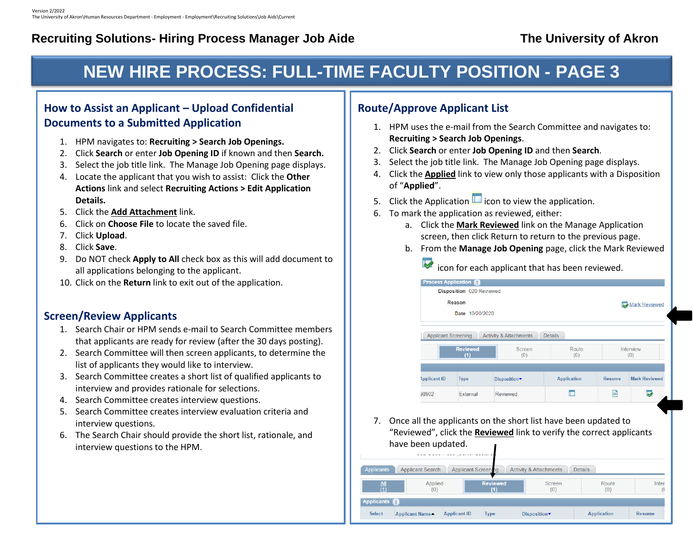# **NEW HIRE PROCESS: FULL-TIME FACULTY POSITION - PAGE 3**

#### **How to Assist an Applicant – Upload Confidential Documents to a Submitted Application**

- 1. HPM navigates to: **Recruiting > Search Job Openings.**
- 2. Click **Search** or enter **Job Opening ID** if known and then **Search.**
- 3. Select the job title link. The Manage Job Opening page displays.
- 4. Locate the applicant that you wish to assist: Click the **Other Actions** link and select **Recruiting Actions > Edit Application Details.**
- 5. Click the **Add Attachment** link.
- 6. Click on **Choose File** to locate the saved file.
- 7. Click **Upload**.
- 8. Click **Save**.
- 9. Do NOT check **Apply to All** check box as this will add document to all applications belonging to the applicant.
- 10. Click on the **Return** link to exit out of the application.

#### **Screen/Review Applicants**

- 1. Search Chair or HPM sends e-mail to Search Committee members that applicants are ready for review (after the 30 days posting).
- 2. Search Committee will then screen applicants, to determine the list of applicants they would like to interview.
- 3. Search Committee creates a short list of qualified applicants to interview and provides rationale for selections.
- 4. Search Committee creates interview questions.
- 5. Search Committee creates interview evaluation criteria and interview questions.
- 6. The Search Chair should provide the short list, rationale, and interview questions to the HPM.

#### **Route/Approve Applicant List**

- 1. HPM uses the e-mail from the Search Committee and navigates to: **Recruiting > Search Job Openings**.
- 2. Click **Search** or enter **Job Opening ID** and then **Search**.
- 3. Select the job title link. The Manage Job Opening page displays.
- 4. Click the **Applied** link to view only those applicants with a Disposition of "**Applied**".
- 5. Click the Application  $\Box$  icon to view the application.
- 6. To mark the application as reviewed, either:
	- a. Click the **Mark Reviewed** link on the Manage Application screen, then click Return to return to the previous page.
	- b. From the **Manage Job Opening** page, click the Mark Reviewed
		- icon for each applicant that has been reviewed.

|                            | Disposition 020 Reviewed |                                   |                    |               |                      |
|----------------------------|--------------------------|-----------------------------------|--------------------|---------------|----------------------|
|                            | Reason                   |                                   | Mark Reviewed      |               |                      |
|                            | Date 10/20/2020          |                                   |                    |               |                      |
| <b>Applicant Screening</b> |                          | <b>Activity &amp; Attachments</b> | <b>Details</b>     |               |                      |
| <b>Reviewed</b><br>(1)     |                          | Screen<br>(0)                     | Route<br>(0)       |               | Interview<br>(0)     |
| <b>Applicant ID</b>        | <b>Type</b>              | Disposition▼                      | <b>Application</b> | <b>Resume</b> | <b>Mark Reviewed</b> |
| 98902                      | External                 | Reviewed                          |                    | E             |                      |

7. Once all the applicants on the short list have been updated to "Reviewed", click the **Reviewed** link to verify the correct applicants have been updated.

| <b>Applicant Screening</b><br><b>Details</b><br><b>Applicant Search</b><br><b>Activity &amp; Attachments</b><br>Applicants |                 |                     |                        |               |                    |               |  |
|----------------------------------------------------------------------------------------------------------------------------|-----------------|---------------------|------------------------|---------------|--------------------|---------------|--|
| $\frac{\text{All}}{(1)}$                                                                                                   | Applied<br>(0)  |                     | <b>Reviewed</b><br>(1) | Screen<br>(0) | Route<br>(0)       | Inter         |  |
| <b>Applicants</b>                                                                                                          |                 |                     |                        |               |                    |               |  |
| <b>Select</b>                                                                                                              | Applicant Name- | <b>Applicant ID</b> | <b>Type</b>            | Disposition▼  | <b>Application</b> | <b>Resume</b> |  |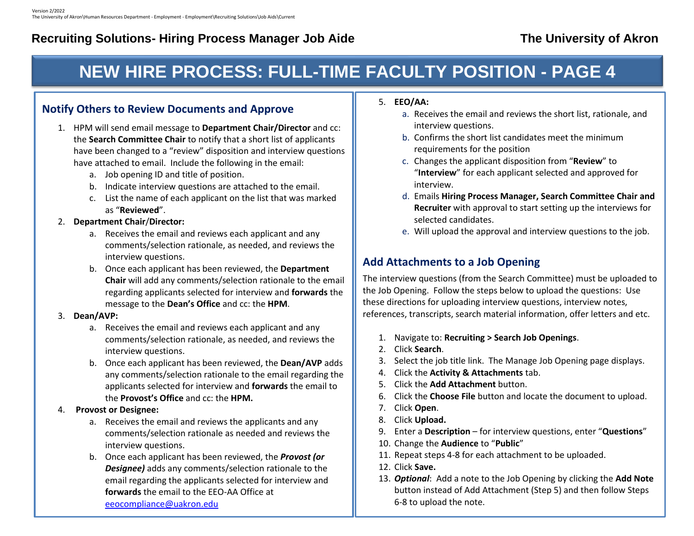# **NEW HIRE PROCESS: FULL-TIME FACULTY POSITION - PAGE 4**

### **Notify Others to Review Documents and Approve**

- 1. HPM will send email message to **Department Chair/Director** and cc: the **Search Committee Chair** to notify that a short list of applicants have been changed to a "review" disposition and interview questions have attached to email. Include the following in the email:
	- a. Job opening ID and title of position.
	- b. Indicate interview questions are attached to the email.
	- c. List the name of each applicant on the list that was marked as "**Reviewed**".

#### 2. **Department Chair**/**Director:**

- a. Receives the email and reviews each applicant and any comments/selection rationale, as needed, and reviews the interview questions.
- b. Once each applicant has been reviewed, the **Department Chair** will add any comments/selection rationale to the email regarding applicants selected for interview and **forwards** the message to the **Dean's Office** and cc: the **HPM**.

#### 3. **Dean/AVP:**

- a. Receives the email and reviews each applicant and any comments/selection rationale, as needed, and reviews the interview questions.
- b. Once each applicant has been reviewed, the **Dean/AVP** adds any comments/selection rationale to the email regarding the applicants selected for interview and **forwards** the email to the **Provost's Office** and cc: the **HPM.**

#### 4. **Provost or Designee:**

- a. Receives the email and reviews the applicants and any comments/selection rationale as needed and reviews the interview questions.
- b. Once each applicant has been reviewed, the *Provost (or Designee)* adds any comments/selection rationale to the email regarding the applicants selected for interview and **forwards** the email to the EEO-AA Office at [eeocompliance@uakron.edu](mailto:eeocompliance@uakron.edu)
- 5. **EEO/AA:**
	- a. Receives the email and reviews the short list, rationale, and interview questions.
	- b. Confirms the short list candidates meet the minimum requirements for the position
	- c. Changes the applicant disposition from "**Review**" to "**Interview**" for each applicant selected and approved for interview.
	- d. Emails **Hiring Process Manager, Search Committee Chair and Recruiter** with approval to start setting up the interviews for selected candidates.
	- e. Will upload the approval and interview questions to the job.

#### **Add Attachments to a Job Opening**

The interview questions (from the Search Committee) must be uploaded to the Job Opening. Follow the steps below to upload the questions: Use these directions for uploading interview questions, interview notes, references, transcripts, search material information, offer letters and etc.

- 1. Navigate to: **Recruiting > Search Job Openings**.
- 2. Click **Search**.
- 3. Select the job title link. The Manage Job Opening page displays.
- 4. Click the **Activity & Attachments** tab.
- 5. Click the **Add Attachment** button.
- 6. Click the **Choose File** button and locate the document to upload.
- 7. Click **Open**.
- 8. Click **Upload.**
- 9. Enter a **Description** for interview questions, enter "**Questions**"
- 10. Change the **Audience** to "**Public**"
- 11. Repeat steps 4-8 for each attachment to be uploaded.
- 12. Click **Save.**
- 13. *Optional*: Add a note to the Job Opening by clicking the **Add Note** button instead of Add Attachment (Step 5) and then follow Steps 6-8 to upload the note.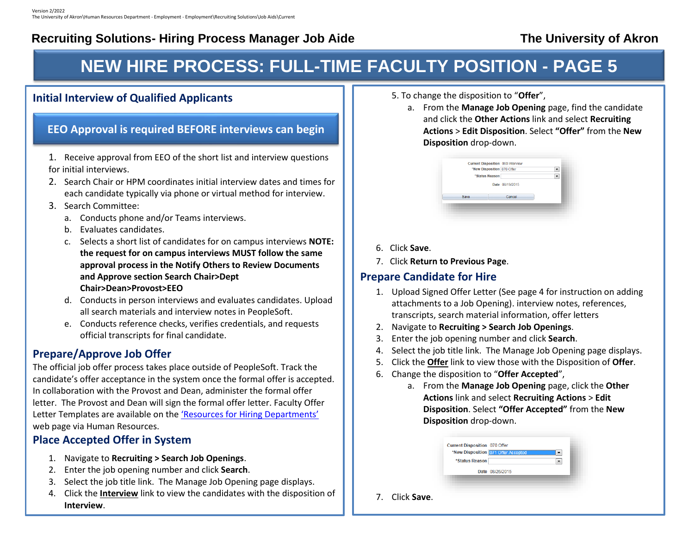## **NEW HIRE PROCESS: FULL-TIME FACULTY POSITION - PAGE 5**

#### **Initial Interview of Qualified Applicants**

#### **EEO Approval is required BEFORE interviews can begin**

- 1. Receive approval from EEO of the short list and interview questions for initial interviews.
- 2. Search Chair or HPM coordinates initial interview dates and times for each candidate typically via phone or virtual method for interview.
- 3. Search Committee:
	- a. Conducts phone and/or Teams interviews.
	- b. Evaluates candidates.
	- c. Selects a short list of candidates for on campus interviews **NOTE: the request for on campus interviews MUST follow the same approval process in the Notify Others to Review Documents and Approve section Search Chair>Dept Chair>Dean>Provost>EEO**
	- d. Conducts in person interviews and evaluates candidates. Upload all search materials and interview notes in PeopleSoft.
	- e. Conducts reference checks, verifies credentials, and requests official transcripts for final candidate.

#### **Prepare/Approve Job Offer**

The official job offer process takes place outside of PeopleSoft. Track the candidate's offer acceptance in the system once the formal offer is accepted. In collaboration with the Provost and Dean, administer the formal offer letter. The Provost and Dean will sign the formal offer letter. Faculty Offer Letter Templates are available on the ['Resources for Hiring Departments'](https://www.uakron.edu/hr/hiring-separation-and-personnel-actions/resources-for-hiring-departments/index.dot) web page via Human Resources.

#### **Place Accepted Offer in System**

5. Change the disposition to "**Offer**"

- 1. Navigate to **Recruiting > Search Job Openings**.
- 2. Enter the job opening number and click **Search**.
- 3. Select the job title link. The Manage Job Opening page displays.
- 4. Click the **Interview** link to view the candidates with the disposition of **Interview**.
- 5. To change the disposition to "**Offer**",
	- a. From the **Manage Job Opening** page, find the candidate and click the **Other Actions** link and select **Recruiting Actions** > **Edit Disposition**. Select **"Offer"** from the **New Disposition** drop-down.

| <b>Current Disposition 060 Interview</b><br>*New Disposition 070 Offer |                 |  |
|------------------------------------------------------------------------|-----------------|--|
| *Status Reason                                                         |                 |  |
|                                                                        | Date 08/19/2015 |  |
| Save                                                                   | Cancel          |  |
|                                                                        |                 |  |

- 6. Click **Save**.
- 7. Click **Return to Previous Page**.

### **Prepare Candidate for Hire**

- 1. Upload Signed Offer Letter (See page 4 for instruction on adding attachments to a Job Opening). interview notes, references, transcripts, search material information, offer letters
- 2. Navigate to **Recruiting > Search Job Openings**.
- 3. Enter the job opening number and click **Search**.
- 4. Select the job title link. The Manage Job Opening page displays.
- 5. Click the **Offer** link to view those with the Disposition of **Offer**.
- 6. Change the disposition to "**Offer Accepted**",
	- a. From the **Manage Job Opening** page, click the **Other Actions** link and select **Recruiting Actions** > **Edit Disposition**. Select **"Offer Accepted"** from the **New Disposition** drop-down.

|             | Current Disposition 070 Offer<br>*Status Reason | *New Disposition 071 Offer Accepted<br>▼ |  |
|-------------|-------------------------------------------------|------------------------------------------|--|
|             |                                                 | Date 08/26/2015                          |  |
| Click Save. |                                                 |                                          |  |